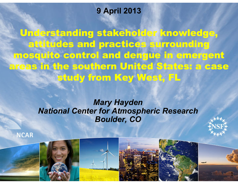**9 April 2013**

Understanding stakeholder knowledge, attitudes and practices surrounding mosquito control and dengue in emergent areas in the southern United States: a case study from Key West, FL

> *Mary Hayden National Center for Atmospheric ResearchBoulder, CO*

**NCAR** 





1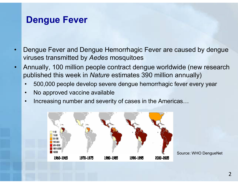#### **Dengue Fever**

- • Dengue Fever and Dengue Hemorrhagic Fever are caused by dengue viruses transmitted by *Aedes* mosquitoes
- • Annually, 100 million people contract dengue worldwide (new research published this week in *Nature* estimates 390 million annually)
	- •500,000 people develop severe dengue hemorrhagic fever every year
	- •No approved vaccine available
	- •Increasing number and severity of cases in the Americas…



Source: WHO DengueNet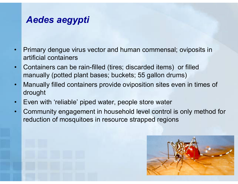### *Aedes aegypti*

- • Primary dengue virus vector and human commensal; oviposits in artificial containers
- $\bullet$  Containers can be rain-filled (tires; discarded items) or filled manually (potted plant bases; buckets; 55 gallon drums)
- • Manually filled containers provide oviposition sites even in times of drought
- •Even with 'reliable' piped water, people store water
- • Community engagement in household level control is only method for reduction of mosquitoes in resource strapped regions

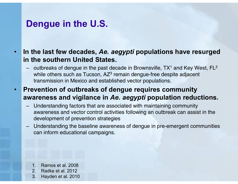#### **Dengue in the U.S.**

- $\bullet$  **In the last few decades,** *Ae. aegypti* **populations have resurged in the southern United States.** 
	- outbreaks of dengue in the past decade in Brownsville,  $TX^1$  and Key West,  $FL^2$ while others such as Tucson,  $AZ^3$  remain dengue-free despite adjacent transmission in Mexico and established vector populations.
- • **Prevention of outbreaks of dengue requires community awareness and vigilance in** *Ae. aegypti* **population reductions.**
	- – Understanding factors that are associated with maintaining community awareness and vector control activities following an outbreak can assist in the development of prevention strategies
	- – Understanding the baseline awareness of dengue in pre-emergent communities can inform educational campaigns.

- 1. Ramos et al. 2008
- 2. Radke et al. 2012
- 3. Hayden et al. 2010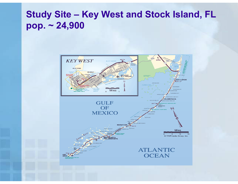# **Study Site – Key West and Stock Island, FL pop. ~ 24,900**

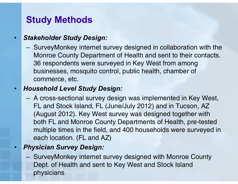# **Study Methods**

#### $\bullet$ *Stakeholder Study Design:*

- SurveyMonkey internet survey designed in collaboration with the Monroe County Department of Health and sent to their contacts. 36 respondents were surveyed in Key West from among businesses, mosquito control, public health, chamber of commerce, etc.

#### $\bullet$ *Household Level Study Design:*

- A cross-sectional survey design was implemented in Key West, FL and Stock Island, FL (June/July 2012) and in Tucson, AZ (August 2012). Key West survey was designed together with both FL and Monroe County Departments of Health, pre-tested multiple times in the field, and 400 households were surveyed ineach location. (FL and AZ)

#### •*Physician Survey Design:*

- SurveyMonkey internet survey designed with Monroe County Dept. of Health and sent to Key West and Stock Island physicians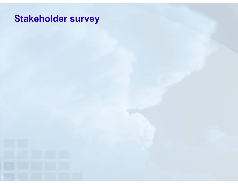# **Stakeholder survey**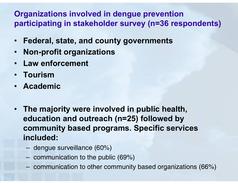#### **Organizations involved in dengue prevention participating in stakeholder survey (n=36 respondents)**

- $\bullet$ **Federal, state, and county governments**
- •**Non-profit organizations**
- **Law enforcement**
- **Tourism**
- **Academic**
- • **The majority were involved in public health, education and outreach (n=25) followed by community based programs. Specific services included:**
	- dengue surveillance (60%)
	- communication to the public (69%)
	- communication to other community based organizations (66%)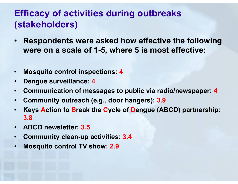# **Efficacy of activities during outbreaks (stakeholders)**

- • **Respondents were asked how effective the following were on a scale of 1-5, where 5 is most effective:**
- $\bullet$ **Mosquito control inspections: 4**
- •**Dengue surveillance: 4**
- $\bullet$ **Communication of messages to public via radio/newspaper: 4**
- $\bullet$ **Community outreach (e.g., door hangers): 3.9**
- • **Keys Action to Break the Cycle of Dengue (ABCD) partnership: 3.8**
- $\bullet$ **ABCD newsletter: 3.5**
- $\bullet$ **Community clean-up activities: 3.4**
- $\bullet$ **Mosquito control TV show: 2.9**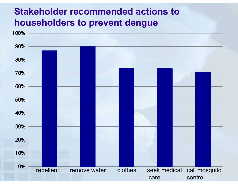# **Stakeholder recommended actions to householders to prevent dengue**

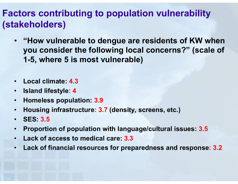# **Factors contributing to population vulnerability (stakeholders)**

- • **"How vulnerable to dengue are residents of KW when you consider the following local concerns?" (scale of 1-5, where 5 is most vulnerable)**
- •**Local climate: 4.3**
- •**Island lifestyle: 4**
- $\bullet$ **Homeless population: 3.9**
- $\bullet$ **Housing infrastructure: 3.7 (density, screens, etc.)**
- •**SES: 3.5**
- $\bullet$ **Proportion of population with language/cultural issues: 3.5**
- $\bullet$ **Lack of access to medical care: 3.3**
- •**Lack of financial resources for preparedness and response: 3.2**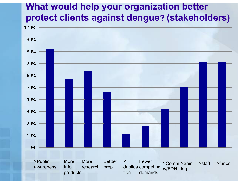# **What would help your organization better protect clients against dengue? (stakeholders)**

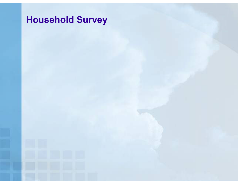# **Household Survey**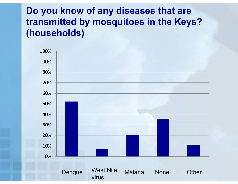# **Do you know of any diseases that are transmitted by mosquitoes in the Keys? (households)**

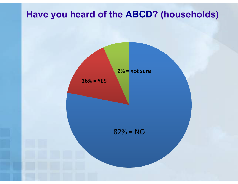# **Have you heard of the ABCD? (households)**

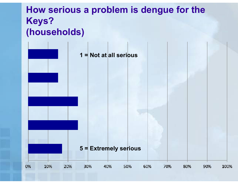# **How serious a problem is dengue for the Keys?(households)**

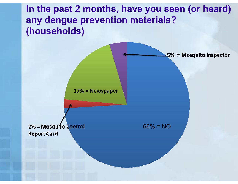# **In the past 2 months, have you seen (or heard) any dengue prevention materials? (households)**

17% = Newspaper

2% = Mosquito Control **Report Card** 

 $66\% = NO$ 

5% = Mosquito Inspector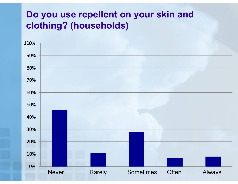# **Do you use repellent on your skin and clothing? (households)**

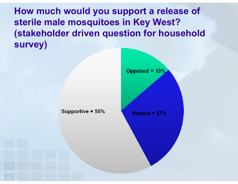**How much would you support a release of sterile male mosquitoes in Key West? (stakeholder driven question for household survey)**

Opposed =  $13\%$ 

Supportive = 55%

Neutral =  $27%$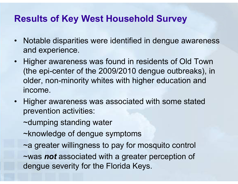# **Results of Key West Household Survey**

- $\bullet$  Notable disparities were identified in dengue awareness and experience.
- Higher awareness was found in residents of Old Town<br>(the enjoanter of the 2000/2010 dengus authreals) in (the epi-center of the 2009/2010 dengue outbreaks), in older, non-minority whites with higher education and income.
- Higher awareness was associated with some stated prevention activities:
	- ~dumping standing water
	- ~knowledge of dengue symptoms
	- ~a greater willingness to pay for mosquito control
	- ~was *not* associated with a greater perception of dengue severity for the Florida Keys.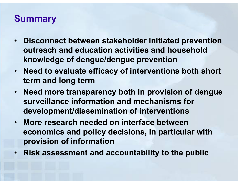# **Summary**

- • **Disconnect between stakeholder initiated preventionoutreach and education activities and household knowledge of dengue/dengue prevention**
- **Need to evaluate efficacy of interventions both short term and long term**
- **Need more transparency both in provision of dengue**   $\bullet$ **surveillance information and mechanisms for development/dissemination of interventions**
- • **More research needed on interface between economics and policy decisions, in particular with provision of information**
- **Risk assessment and accountability to the public**